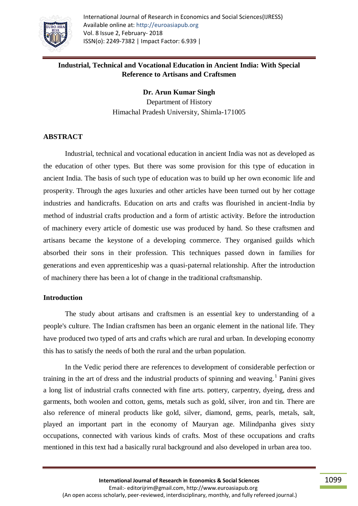

# **Industrial, Technical and Vocational Education in Ancient India: With Special Reference to Artisans and Craftsmen**

**Dr. Arun Kumar Singh** Department of History Himachal Pradesh University, Shimla-171005

### **ABSTRACT**

Industrial, technical and vocational education in ancient India was not as developed as the education of other types. But there was some provision for this type of education in ancient India. The basis of such type of education was to build up her own economic life and prosperity. Through the ages luxuries and other articles have been turned out by her cottage industries and handicrafts. Education on arts and crafts was flourished in ancient-India by method of industrial crafts production and a form of artistic activity. Before the introduction of machinery every article of domestic use was produced by hand. So these craftsmen and artisans became the keystone of a developing commerce. They organised guilds which absorbed their sons in their profession. This techniques passed down in families for generations and even apprenticeship was a quasi-paternal relationship. After the introduction of machinery there has been a lot of change in the traditional craftsmanship.

### **Introduction**

The study about artisans and craftsmen is an essential key to understanding of a people's culture. The Indian craftsmen has been an organic element in the national life. They have produced two typed of arts and crafts which are rural and urban. In developing economy this has to satisfy the needs of both the rural and the urban population.

In the Vedic period there are references to development of considerable perfection or training in the art of dress and the industrial products of spinning and weaving.<sup>1</sup> Panini gives a long list of industrial crafts connected with fine arts. pottery, carpentry, dyeing, dress and garments, both woolen and cotton, gems, metals such as gold, silver, iron and tin. There are also reference of mineral products like gold, silver, diamond, gems, pearls, metals, salt, played an important part in the economy of Mauryan age. Milindpanha gives sixty occupations, connected with various kinds of crafts. Most of these occupations and crafts mentioned in this text had a basically rural background and also developed in urban area too.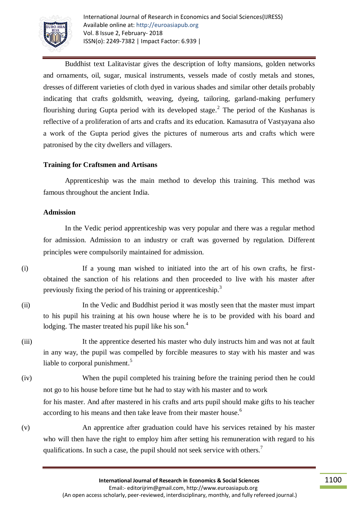

Buddhist text Lalitavistar gives the description of lofty mansions, golden networks and ornaments, oil, sugar, musical instruments, vessels made of costly metals and stones, dresses of different varieties of cloth dyed in various shades and similar other details probably indicating that crafts goldsmith, weaving, dyeing, tailoring, garland-making perfumery flourishing during Gupta period with its developed stage.<sup>2</sup> The period of the Kushanas is reflective of a proliferation of arts and crafts and its education. Kamasutra of Vastyayana also a work of the Gupta period gives the pictures of numerous arts and crafts which were patronised by the city dwellers and villagers.

## **Training for Craftsmen and Artisans**

Apprenticeship was the main method to develop this training. This method was famous throughout the ancient India.

### **Admission**

In the Vedic period apprenticeship was very popular and there was a regular method for admission. Admission to an industry or craft was governed by regulation. Different principles were compulsorily maintained for admission.

(i) If a young man wished to initiated into the art of his own crafts, he firstobtained the sanction of his relations and then proceeded to live with his master after previously fixing the period of his training or apprenticeship.<sup>3</sup>

- (ii) In the Vedic and Buddhist period it was mostly seen that the master must impart to his pupil his training at his own house where he is to be provided with his board and lodging. The master treated his pupil like his son.<sup>4</sup>
- (iii) It the apprentice deserted his master who duly instructs him and was not at fault in any way, the pupil was compelled by forcible measures to stay with his master and was liable to corporal punishment.<sup>5</sup>
- (iv) When the pupil completed his training before the training period then he could not go to his house before time but he had to stay with his master and to work for his master. And after mastered in his crafts and arts pupil should make gifts to his teacher according to his means and then take leave from their master house.<sup>6</sup>
- (v) An apprentice after graduation could have his services retained by his master who will then have the right to employ him after setting his remuneration with regard to his qualifications. In such a case, the pupil should not seek service with others.<sup>7</sup>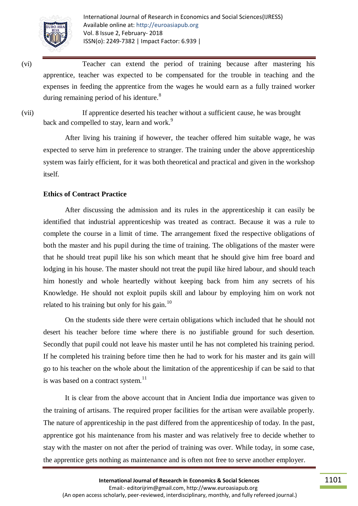

(vi) Teacher can extend the period of training because after mastering his apprentice, teacher was expected to be compensated for the trouble in teaching and the expenses in feeding the apprentice from the wages he would earn as a fully trained worker during remaining period of his identure.<sup>8</sup>

(vii) If apprentice deserted his teacher without a sufficient cause, he was brought back and compelled to stay, learn and work.<sup>9</sup>

After living his training if however, the teacher offered him suitable wage, he was expected to serve him in preference to stranger. The training under the above apprenticeship system was fairly efficient, for it was both theoretical and practical and given in the workshop itself.

### **Ethics of Contract Practice**

After discussing the admission and its rules in the apprenticeship it can easily be identified that industrial apprenticeship was treated as contract. Because it was a rule to complete the course in a limit of time. The arrangement fixed the respective obligations of both the master and his pupil during the time of training. The obligations of the master were that he should treat pupil like his son which meant that he should give him free board and lodging in his house. The master should not treat the pupil like hired labour, and should teach him honestly and whole heartedly without keeping back from him any secrets of his Knowledge. He should not exploit pupils skill and labour by employing him on work not related to his training but only for his gain. $^{10}$ 

On the students side there were certain obligations which included that he should not desert his teacher before time where there is no justifiable ground for such desertion. Secondly that pupil could not leave his master until he has not completed his training period. If he completed his training before time then he had to work for his master and its gain will go to his teacher on the whole about the limitation of the apprenticeship if can be said to that is was based on a contract system. $11$ 

It is clear from the above account that in Ancient India due importance was given to the training of artisans. The required proper facilities for the artisan were available properly. The nature of apprenticeship in the past differed from the apprenticeship of today. In the past, apprentice got his maintenance from his master and was relatively free to decide whether to stay with the master on not after the period of training was over. While today, in some case, the apprentice gets nothing as maintenance and is often not free to serve another employer.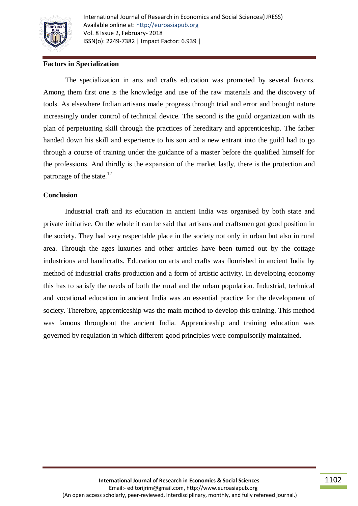

## **Factors in Specialization**

The specialization in arts and crafts education was promoted by several factors. Among them first one is the knowledge and use of the raw materials and the discovery of tools. As elsewhere Indian artisans made progress through trial and error and brought nature increasingly under control of technical device. The second is the guild organization with its plan of perpetuating skill through the practices of hereditary and apprenticeship. The father handed down his skill and experience to his son and a new entrant into the guild had to go through a course of training under the guidance of a master before the qualified himself for the professions. And thirdly is the expansion of the market lastly, there is the protection and patronage of the state. $^{12}$ 

#### **Conclusion**

Industrial craft and its education in ancient India was organised by both state and private initiative. On the whole it can be said that artisans and craftsmen got good position in the society. They had very respectable place in the society not only in urban but also in rural area. Through the ages luxuries and other articles have been turned out by the cottage industrious and handicrafts. Education on arts and crafts was flourished in ancient India by method of industrial crafts production and a form of artistic activity. In developing economy this has to satisfy the needs of both the rural and the urban population. Industrial, technical and vocational education in ancient India was an essential practice for the development of society. Therefore, apprenticeship was the main method to develop this training. This method was famous throughout the ancient India. Apprenticeship and training education was governed by regulation in which different good principles were compulsorily maintained.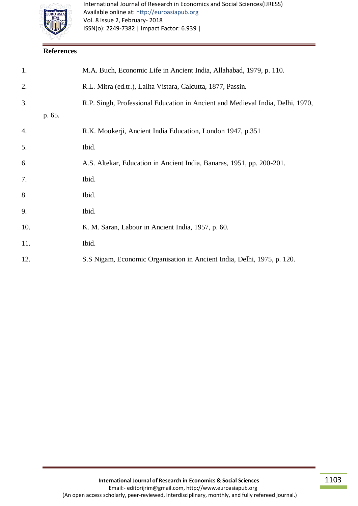

## **References**

| 1.  |        | M.A. Buch, Economic Life in Ancient India, Allahabad, 1979, p. 110.            |
|-----|--------|--------------------------------------------------------------------------------|
| 2.  |        | R.L. Mitra (ed.tr.), Lalita Vistara, Calcutta, 1877, Passin.                   |
| 3.  |        | R.P. Singh, Professional Education in Ancient and Medieval India, Delhi, 1970, |
|     | p. 65. |                                                                                |
| 4.  |        | R.K. Mookerji, Ancient India Education, London 1947, p.351                     |
| 5.  |        | Ibid.                                                                          |
| 6.  |        | A.S. Altekar, Education in Ancient India, Banaras, 1951, pp. 200-201.          |
| 7.  |        | Ibid.                                                                          |
| 8.  |        | Ibid.                                                                          |
| 9.  |        | Ibid.                                                                          |
| 10. |        | K. M. Saran, Labour in Ancient India, 1957, p. 60.                             |
| 11. |        | Ibid.                                                                          |
| 12. |        | S.S Nigam, Economic Organisation in Ancient India, Delhi, 1975, p. 120.        |